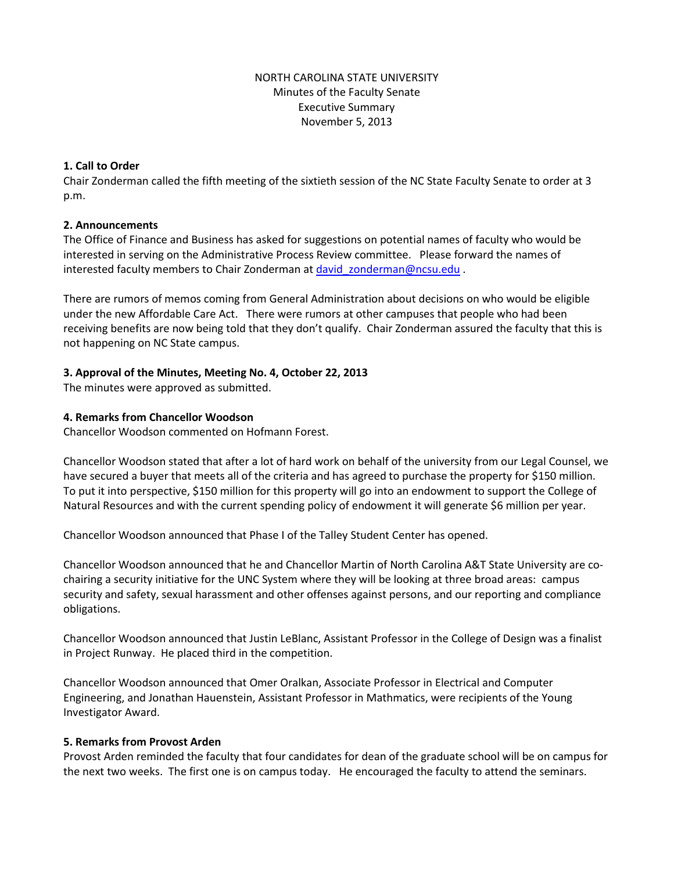# NORTH CAROLINA STATE UNIVERSITY Minutes of the Faculty Senate Executive Summary November 5, 2013

### **1. Call to Order**

Chair Zonderman called the fifth meeting of the sixtieth session of the NC State Faculty Senate to order at 3 p.m.

### **2. Announcements**

The Office of Finance and Business has asked for suggestions on potential names of faculty who would be interested in serving on the Administrative Process Review committee. Please forward the names of interested faculty members to Chair Zonderman at david zonderman@ncsu.edu .

There are rumors of memos coming from General Administration about decisions on who would be eligible under the new Affordable Care Act. There were rumors at other campuses that people who had been receiving benefits are now being told that they don't qualify. Chair Zonderman assured the faculty that this is not happening on NC State campus.

### **3. Approval of the Minutes, Meeting No. 4, October 22, 2013**

The minutes were approved as submitted.

#### **4. Remarks from Chancellor Woodson**

Chancellor Woodson commented on Hofmann Forest.

Chancellor Woodson stated that after a lot of hard work on behalf of the university from our Legal Counsel, we have secured a buyer that meets all of the criteria and has agreed to purchase the property for \$150 million. To put it into perspective, \$150 million for this property will go into an endowment to support the College of Natural Resources and with the current spending policy of endowment it will generate \$6 million per year.

Chancellor Woodson announced that Phase I of the Talley Student Center has opened.

Chancellor Woodson announced that he and Chancellor Martin of North Carolina A&T State University are cochairing a security initiative for the UNC System where they will be looking at three broad areas: campus security and safety, sexual harassment and other offenses against persons, and our reporting and compliance obligations.

Chancellor Woodson announced that Justin LeBlanc, Assistant Professor in the College of Design was a finalist in Project Runway. He placed third in the competition.

Chancellor Woodson announced that Omer Oralkan, Associate Professor in Electrical and Computer Engineering, and Jonathan Hauenstein, Assistant Professor in Mathmatics, were recipients of the Young Investigator Award.

#### **5. Remarks from Provost Arden**

Provost Arden reminded the faculty that four candidates for dean of the graduate school will be on campus for the next two weeks. The first one is on campus today. He encouraged the faculty to attend the seminars.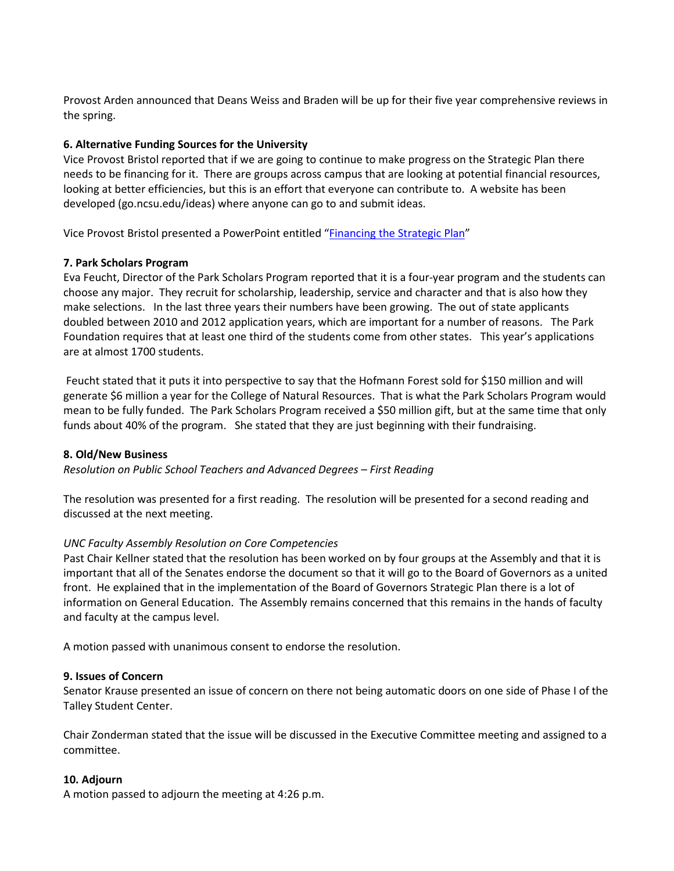Provost Arden announced that Deans Weiss and Braden will be up for their five year comprehensive reviews in the spring.

### **6. Alternative Funding Sources for the University**

Vice Provost Bristol reported that if we are going to continue to make progress on the Strategic Plan there needs to be financing for it. There are groups across campus that are looking at potential financial resources, looking at better efficiencies, but this is an effort that everyone can contribute to. A website has been developed (go.ncsu.edu/ideas) where anyone can go to and submit ideas.

Vice Provost Bristol presented a PowerPoint entitled ["Financing the Strategic Plan"](http://www.ncsu.edu/faculty_senate/documents/AlternativerevenuesSenate2513.pdf)

# **7. Park Scholars Program**

Eva Feucht, Director of the Park Scholars Program reported that it is a four-year program and the students can choose any major. They recruit for scholarship, leadership, service and character and that is also how they make selections. In the last three years their numbers have been growing. The out of state applicants doubled between 2010 and 2012 application years, which are important for a number of reasons. The Park Foundation requires that at least one third of the students come from other states. This year's applications are at almost 1700 students.

Feucht stated that it puts it into perspective to say that the Hofmann Forest sold for \$150 million and will generate \$6 million a year for the College of Natural Resources. That is what the Park Scholars Program would mean to be fully funded. The Park Scholars Program received a \$50 million gift, but at the same time that only funds about 40% of the program. She stated that they are just beginning with their fundraising.

### **8. Old/New Business**

*Resolution on Public School Teachers and Advanced Degrees – First Reading*

The resolution was presented for a first reading. The resolution will be presented for a second reading and discussed at the next meeting.

### *UNC Faculty Assembly Resolution on Core Competencies*

Past Chair Kellner stated that the resolution has been worked on by four groups at the Assembly and that it is important that all of the Senates endorse the document so that it will go to the Board of Governors as a united front. He explained that in the implementation of the Board of Governors Strategic Plan there is a lot of information on General Education. The Assembly remains concerned that this remains in the hands of faculty and faculty at the campus level.

A motion passed with unanimous consent to endorse the resolution.

### **9. Issues of Concern**

Senator Krause presented an issue of concern on there not being automatic doors on one side of Phase I of the Talley Student Center.

Chair Zonderman stated that the issue will be discussed in the Executive Committee meeting and assigned to a committee.

### **10. Adjourn**

A motion passed to adjourn the meeting at 4:26 p.m.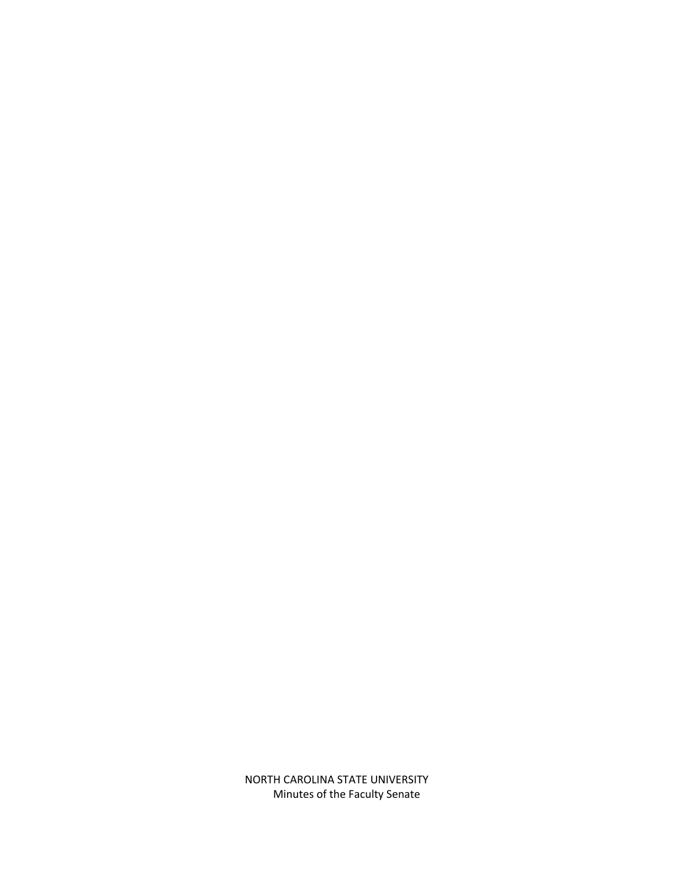NORTH CAROLINA STATE UNIVERSITY Minutes of the Faculty Senate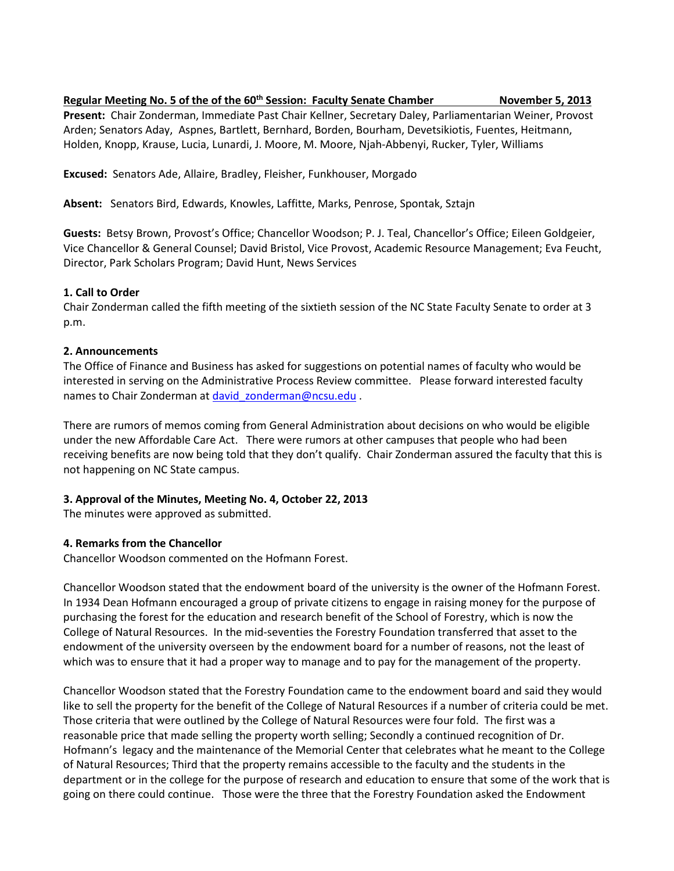**Regular Meeting No. 5 of the of the 60th Session: Faculty Senate Chamber November 5, 2013**

**Present:** Chair Zonderman, Immediate Past Chair Kellner, Secretary Daley, Parliamentarian Weiner, Provost Arden; Senators Aday, Aspnes, Bartlett, Bernhard, Borden, Bourham, Devetsikiotis, Fuentes, Heitmann, Holden, Knopp, Krause, Lucia, Lunardi, J. Moore, M. Moore, Njah-Abbenyi, Rucker, Tyler, Williams

**Excused:** Senators Ade, Allaire, Bradley, Fleisher, Funkhouser, Morgado

**Absent:** Senators Bird, Edwards, Knowles, Laffitte, Marks, Penrose, Spontak, Sztajn

**Guests:** Betsy Brown, Provost's Office; Chancellor Woodson; P. J. Teal, Chancellor's Office; Eileen Goldgeier, Vice Chancellor & General Counsel; David Bristol, Vice Provost, Academic Resource Management; Eva Feucht, Director, Park Scholars Program; David Hunt, News Services

# **1. Call to Order**

Chair Zonderman called the fifth meeting of the sixtieth session of the NC State Faculty Senate to order at 3 p.m.

# **2. Announcements**

The Office of Finance and Business has asked for suggestions on potential names of faculty who would be interested in serving on the Administrative Process Review committee. Please forward interested faculty names to Chair Zonderman at david zonderman@ncsu.edu .

There are rumors of memos coming from General Administration about decisions on who would be eligible under the new Affordable Care Act. There were rumors at other campuses that people who had been receiving benefits are now being told that they don't qualify. Chair Zonderman assured the faculty that this is not happening on NC State campus.

# **3. Approval of the Minutes, Meeting No. 4, October 22, 2013**

The minutes were approved as submitted.

# **4. Remarks from the Chancellor**

Chancellor Woodson commented on the Hofmann Forest.

Chancellor Woodson stated that the endowment board of the university is the owner of the Hofmann Forest. In 1934 Dean Hofmann encouraged a group of private citizens to engage in raising money for the purpose of purchasing the forest for the education and research benefit of the School of Forestry, which is now the College of Natural Resources. In the mid-seventies the Forestry Foundation transferred that asset to the endowment of the university overseen by the endowment board for a number of reasons, not the least of which was to ensure that it had a proper way to manage and to pay for the management of the property.

Chancellor Woodson stated that the Forestry Foundation came to the endowment board and said they would like to sell the property for the benefit of the College of Natural Resources if a number of criteria could be met. Those criteria that were outlined by the College of Natural Resources were four fold. The first was a reasonable price that made selling the property worth selling; Secondly a continued recognition of Dr. Hofmann's legacy and the maintenance of the Memorial Center that celebrates what he meant to the College of Natural Resources; Third that the property remains accessible to the faculty and the students in the department or in the college for the purpose of research and education to ensure that some of the work that is going on there could continue. Those were the three that the Forestry Foundation asked the Endowment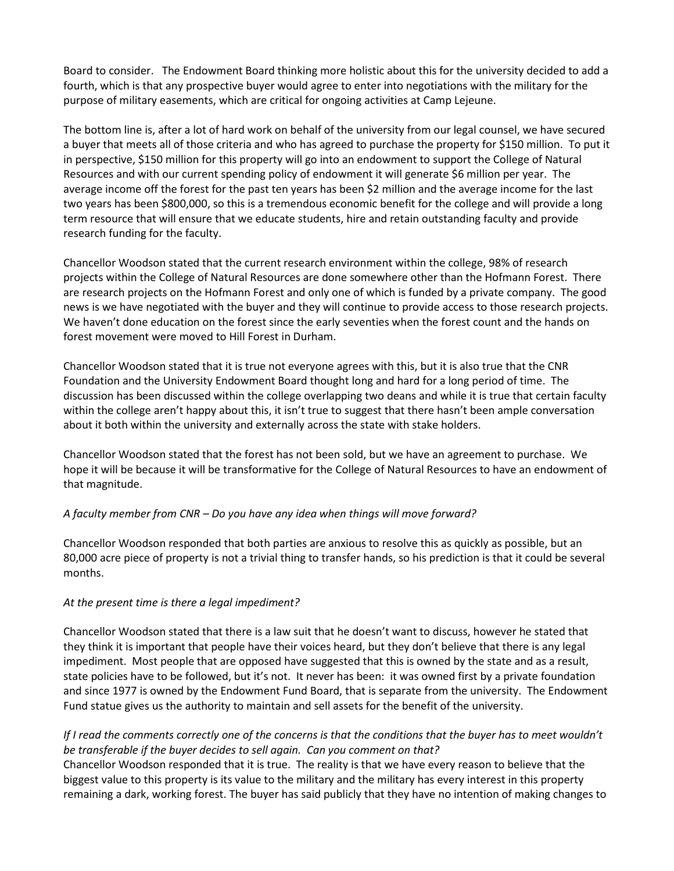Board to consider. The Endowment Board thinking more holistic about this for the university decided to add a fourth, which is that any prospective buyer would agree to enter into negotiations with the military for the purpose of military easements, which are critical for ongoing activities at Camp Lejeune.

The bottom line is, after a lot of hard work on behalf of the university from our legal counsel, we have secured a buyer that meets all of those criteria and who has agreed to purchase the property for \$150 million. To put it in perspective, \$150 million for this property will go into an endowment to support the College of Natural Resources and with our current spending policy of endowment it will generate \$6 million per year. The average income off the forest for the past ten years has been \$2 million and the average income for the last two years has been \$800,000, so this is a tremendous economic benefit for the college and will provide a long term resource that will ensure that we educate students, hire and retain outstanding faculty and provide research funding for the faculty.

Chancellor Woodson stated that the current research environment within the college, 98% of research projects within the College of Natural Resources are done somewhere other than the Hofmann Forest. There are research projects on the Hofmann Forest and only one of which is funded by a private company. The good news is we have negotiated with the buyer and they will continue to provide access to those research projects. We haven't done education on the forest since the early seventies when the forest count and the hands on forest movement were moved to Hill Forest in Durham.

Chancellor Woodson stated that it is true not everyone agrees with this, but it is also true that the CNR Foundation and the University Endowment Board thought long and hard for a long period of time. The discussion has been discussed within the college overlapping two deans and while it is true that certain faculty within the college aren't happy about this, it isn't true to suggest that there hasn't been ample conversation about it both within the university and externally across the state with stake holders.

Chancellor Woodson stated that the forest has not been sold, but we have an agreement to purchase. We hope it will be because it will be transformative for the College of Natural Resources to have an endowment of that magnitude.

### *A faculty member from CNR – Do you have any idea when things will move forward?*

Chancellor Woodson responded that both parties are anxious to resolve this as quickly as possible, but an 80,000 acre piece of property is not a trivial thing to transfer hands, so his prediction is that it could be several months.

### *At the present time is there a legal impediment?*

Chancellor Woodson stated that there is a law suit that he doesn't want to discuss, however he stated that they think it is important that people have their voices heard, but they don't believe that there is any legal impediment. Most people that are opposed have suggested that this is owned by the state and as a result, state policies have to be followed, but it's not. It never has been: it was owned first by a private foundation and since 1977 is owned by the Endowment Fund Board, that is separate from the university. The Endowment Fund statue gives us the authority to maintain and sell assets for the benefit of the university.

# *If I read the comments correctly one of the concerns is that the conditions that the buyer has to meet wouldn't be transferable if the buyer decides to sell again. Can you comment on that?*

Chancellor Woodson responded that it is true. The reality is that we have every reason to believe that the biggest value to this property is its value to the military and the military has every interest in this property remaining a dark, working forest. The buyer has said publicly that they have no intention of making changes to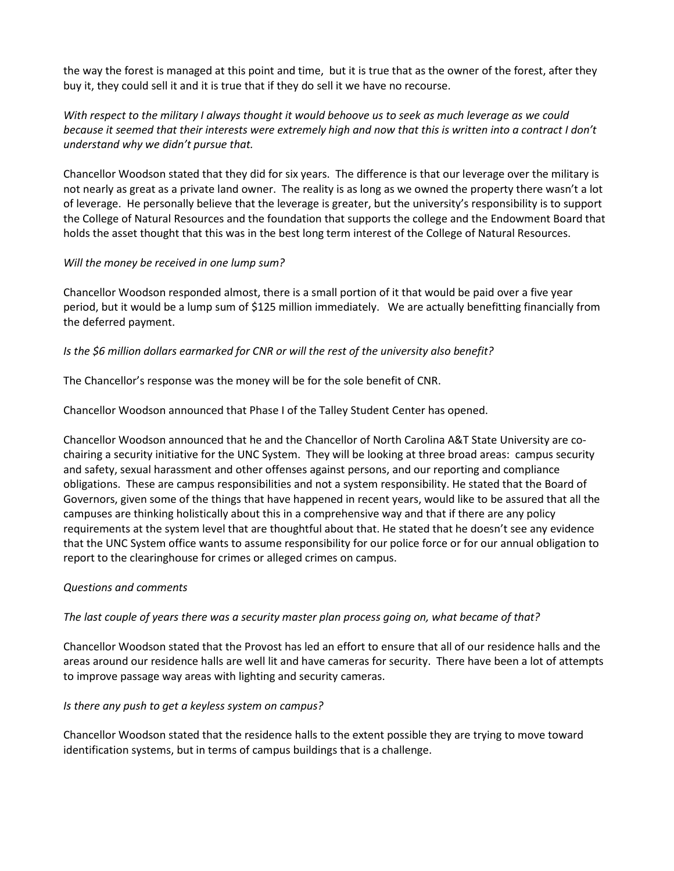the way the forest is managed at this point and time, but it is true that as the owner of the forest, after they buy it, they could sell it and it is true that if they do sell it we have no recourse.

*With respect to the military I always thought it would behoove us to seek as much leverage as we could because it seemed that their interests were extremely high and now that this is written into a contract I don't understand why we didn't pursue that.* 

Chancellor Woodson stated that they did for six years. The difference is that our leverage over the military is not nearly as great as a private land owner. The reality is as long as we owned the property there wasn't a lot of leverage. He personally believe that the leverage is greater, but the university's responsibility is to support the College of Natural Resources and the foundation that supports the college and the Endowment Board that holds the asset thought that this was in the best long term interest of the College of Natural Resources.

### *Will the money be received in one lump sum?*

Chancellor Woodson responded almost, there is a small portion of it that would be paid over a five year period, but it would be a lump sum of \$125 million immediately. We are actually benefitting financially from the deferred payment.

# *Is the \$6 million dollars earmarked for CNR or will the rest of the university also benefit?*

The Chancellor's response was the money will be for the sole benefit of CNR.

Chancellor Woodson announced that Phase I of the Talley Student Center has opened.

Chancellor Woodson announced that he and the Chancellor of North Carolina A&T State University are cochairing a security initiative for the UNC System. They will be looking at three broad areas: campus security and safety, sexual harassment and other offenses against persons, and our reporting and compliance obligations. These are campus responsibilities and not a system responsibility. He stated that the Board of Governors, given some of the things that have happened in recent years, would like to be assured that all the campuses are thinking holistically about this in a comprehensive way and that if there are any policy requirements at the system level that are thoughtful about that. He stated that he doesn't see any evidence that the UNC System office wants to assume responsibility for our police force or for our annual obligation to report to the clearinghouse for crimes or alleged crimes on campus.

### *Questions and comments*

*The last couple of years there was a security master plan process going on, what became of that?*

Chancellor Woodson stated that the Provost has led an effort to ensure that all of our residence halls and the areas around our residence halls are well lit and have cameras for security. There have been a lot of attempts to improve passage way areas with lighting and security cameras.

### *Is there any push to get a keyless system on campus?*

Chancellor Woodson stated that the residence halls to the extent possible they are trying to move toward identification systems, but in terms of campus buildings that is a challenge.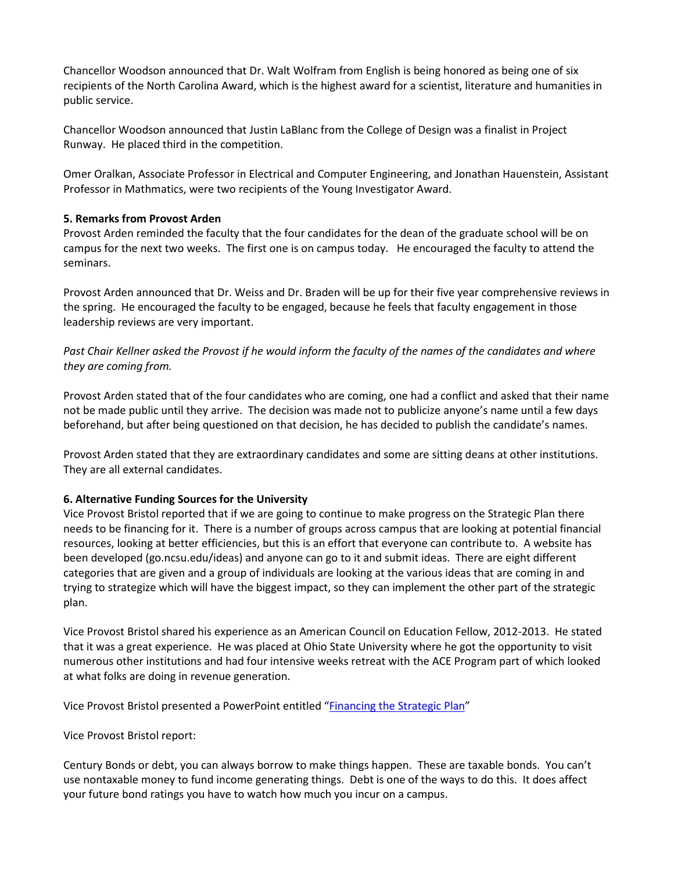Chancellor Woodson announced that Dr. Walt Wolfram from English is being honored as being one of six recipients of the North Carolina Award, which is the highest award for a scientist, literature and humanities in public service.

Chancellor Woodson announced that Justin LaBlanc from the College of Design was a finalist in Project Runway. He placed third in the competition.

Omer Oralkan, Associate Professor in Electrical and Computer Engineering, and Jonathan Hauenstein, Assistant Professor in Mathmatics, were two recipients of the Young Investigator Award.

### **5. Remarks from Provost Arden**

Provost Arden reminded the faculty that the four candidates for the dean of the graduate school will be on campus for the next two weeks. The first one is on campus today. He encouraged the faculty to attend the seminars.

Provost Arden announced that Dr. Weiss and Dr. Braden will be up for their five year comprehensive reviews in the spring. He encouraged the faculty to be engaged, because he feels that faculty engagement in those leadership reviews are very important.

*Past Chair Kellner asked the Provost if he would inform the faculty of the names of the candidates and where they are coming from.*

Provost Arden stated that of the four candidates who are coming, one had a conflict and asked that their name not be made public until they arrive. The decision was made not to publicize anyone's name until a few days beforehand, but after being questioned on that decision, he has decided to publish the candidate's names.

Provost Arden stated that they are extraordinary candidates and some are sitting deans at other institutions. They are all external candidates.

### **6. Alternative Funding Sources for the University**

Vice Provost Bristol reported that if we are going to continue to make progress on the Strategic Plan there needs to be financing for it. There is a number of groups across campus that are looking at potential financial resources, looking at better efficiencies, but this is an effort that everyone can contribute to. A website has been developed (go.ncsu.edu/ideas) and anyone can go to it and submit ideas. There are eight different categories that are given and a group of individuals are looking at the various ideas that are coming in and trying to strategize which will have the biggest impact, so they can implement the other part of the strategic plan.

Vice Provost Bristol shared his experience as an American Council on Education Fellow, 2012-2013. He stated that it was a great experience. He was placed at Ohio State University where he got the opportunity to visit numerous other institutions and had four intensive weeks retreat with the ACE Program part of which looked at what folks are doing in revenue generation.

Vice Provost Bristol presented a PowerPoint entitled ["Financing the Strategic Plan"](http://www.ncsu.edu/faculty_senate/documents/AlternativerevenuesSenate2513.pdf)

Vice Provost Bristol report:

Century Bonds or debt, you can always borrow to make things happen. These are taxable bonds. You can't use nontaxable money to fund income generating things. Debt is one of the ways to do this. It does affect your future bond ratings you have to watch how much you incur on a campus.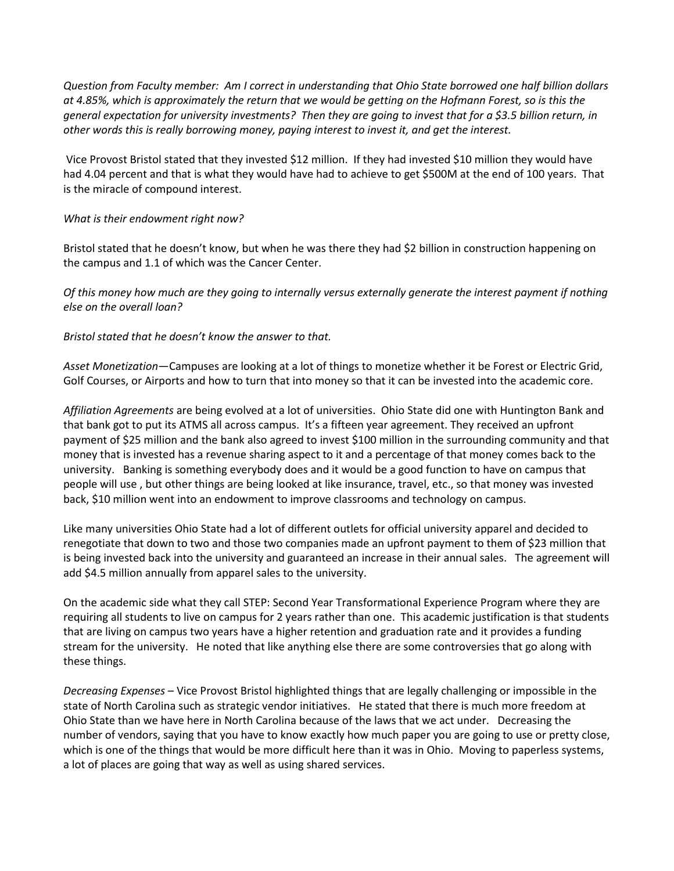*Question from Faculty member: Am I correct in understanding that Ohio State borrowed one half billion dollars at 4.85%, which is approximately the return that we would be getting on the Hofmann Forest, so is this the general expectation for university investments? Then they are going to invest that for a \$3.5 billion return, in other words this is really borrowing money, paying interest to invest it, and get the interest.*

Vice Provost Bristol stated that they invested \$12 million. If they had invested \$10 million they would have had 4.04 percent and that is what they would have had to achieve to get \$500M at the end of 100 years. That is the miracle of compound interest.

### *What is their endowment right now?*

Bristol stated that he doesn't know, but when he was there they had \$2 billion in construction happening on the campus and 1.1 of which was the Cancer Center.

*Of this money how much are they going to internally versus externally generate the interest payment if nothing else on the overall loan?*

*Bristol stated that he doesn't know the answer to that.* 

*Asset Monetization*—Campuses are looking at a lot of things to monetize whether it be Forest or Electric Grid, Golf Courses, or Airports and how to turn that into money so that it can be invested into the academic core.

*Affiliation Agreements* are being evolved at a lot of universities. Ohio State did one with Huntington Bank and that bank got to put its ATMS all across campus. It's a fifteen year agreement. They received an upfront payment of \$25 million and the bank also agreed to invest \$100 million in the surrounding community and that money that is invested has a revenue sharing aspect to it and a percentage of that money comes back to the university. Banking is something everybody does and it would be a good function to have on campus that people will use , but other things are being looked at like insurance, travel, etc., so that money was invested back, \$10 million went into an endowment to improve classrooms and technology on campus.

Like many universities Ohio State had a lot of different outlets for official university apparel and decided to renegotiate that down to two and those two companies made an upfront payment to them of \$23 million that is being invested back into the university and guaranteed an increase in their annual sales. The agreement will add \$4.5 million annually from apparel sales to the university.

On the academic side what they call STEP: Second Year Transformational Experience Program where they are requiring all students to live on campus for 2 years rather than one. This academic justification is that students that are living on campus two years have a higher retention and graduation rate and it provides a funding stream for the university. He noted that like anything else there are some controversies that go along with these things.

*Decreasing Expenses* – Vice Provost Bristol highlighted things that are legally challenging or impossible in the state of North Carolina such as strategic vendor initiatives. He stated that there is much more freedom at Ohio State than we have here in North Carolina because of the laws that we act under. Decreasing the number of vendors, saying that you have to know exactly how much paper you are going to use or pretty close, which is one of the things that would be more difficult here than it was in Ohio. Moving to paperless systems, a lot of places are going that way as well as using shared services.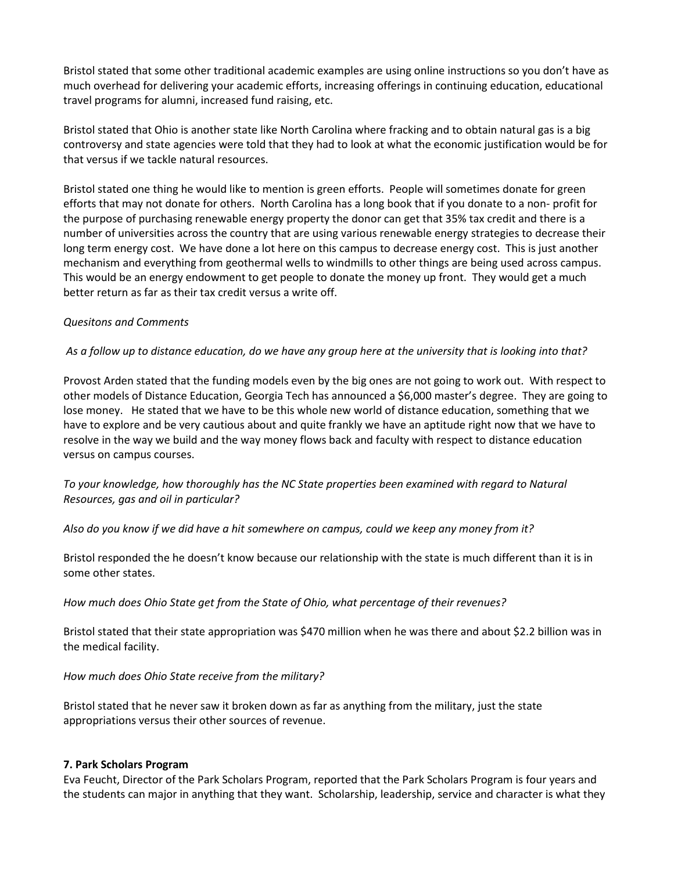Bristol stated that some other traditional academic examples are using online instructions so you don't have as much overhead for delivering your academic efforts, increasing offerings in continuing education, educational travel programs for alumni, increased fund raising, etc.

Bristol stated that Ohio is another state like North Carolina where fracking and to obtain natural gas is a big controversy and state agencies were told that they had to look at what the economic justification would be for that versus if we tackle natural resources.

Bristol stated one thing he would like to mention is green efforts. People will sometimes donate for green efforts that may not donate for others. North Carolina has a long book that if you donate to a non- profit for the purpose of purchasing renewable energy property the donor can get that 35% tax credit and there is a number of universities across the country that are using various renewable energy strategies to decrease their long term energy cost. We have done a lot here on this campus to decrease energy cost. This is just another mechanism and everything from geothermal wells to windmills to other things are being used across campus. This would be an energy endowment to get people to donate the money up front. They would get a much better return as far as their tax credit versus a write off.

### *Quesitons and Comments*

### *As a follow up to distance education, do we have any group here at the university that is looking into that?*

Provost Arden stated that the funding models even by the big ones are not going to work out. With respect to other models of Distance Education, Georgia Tech has announced a \$6,000 master's degree. They are going to lose money. He stated that we have to be this whole new world of distance education, something that we have to explore and be very cautious about and quite frankly we have an aptitude right now that we have to resolve in the way we build and the way money flows back and faculty with respect to distance education versus on campus courses.

# *To your knowledge, how thoroughly has the NC State properties been examined with regard to Natural Resources, gas and oil in particular?*

#### *Also do you know if we did have a hit somewhere on campus, could we keep any money from it?*

Bristol responded the he doesn't know because our relationship with the state is much different than it is in some other states.

### *How much does Ohio State get from the State of Ohio, what percentage of their revenues?*

Bristol stated that their state appropriation was \$470 million when he was there and about \$2.2 billion was in the medical facility.

#### *How much does Ohio State receive from the military?*

Bristol stated that he never saw it broken down as far as anything from the military, just the state appropriations versus their other sources of revenue.

#### **7. Park Scholars Program**

Eva Feucht, Director of the Park Scholars Program, reported that the Park Scholars Program is four years and the students can major in anything that they want. Scholarship, leadership, service and character is what they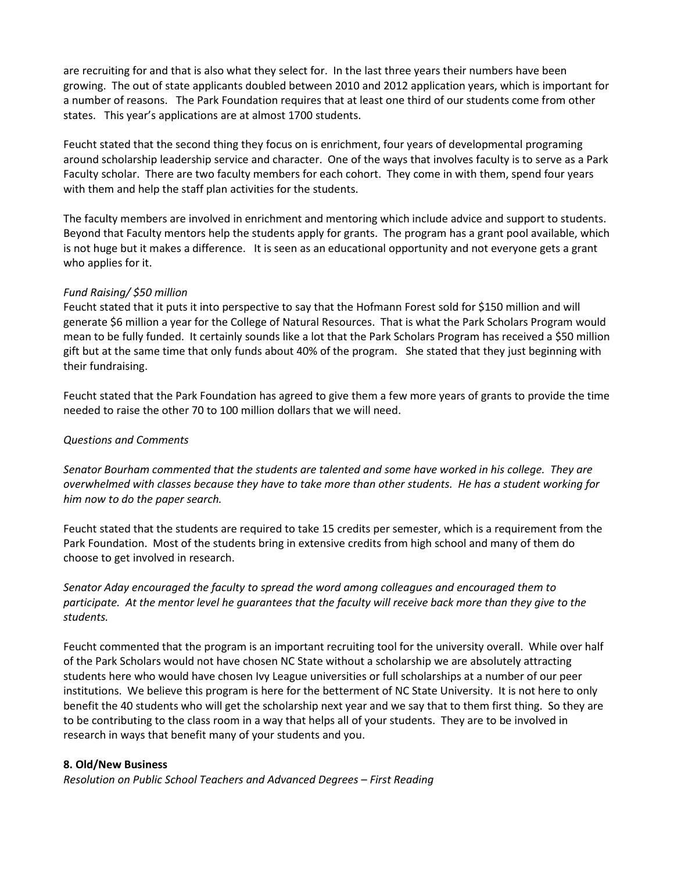are recruiting for and that is also what they select for. In the last three years their numbers have been growing. The out of state applicants doubled between 2010 and 2012 application years, which is important for a number of reasons. The Park Foundation requires that at least one third of our students come from other states. This year's applications are at almost 1700 students.

Feucht stated that the second thing they focus on is enrichment, four years of developmental programing around scholarship leadership service and character. One of the ways that involves faculty is to serve as a Park Faculty scholar. There are two faculty members for each cohort. They come in with them, spend four years with them and help the staff plan activities for the students.

The faculty members are involved in enrichment and mentoring which include advice and support to students. Beyond that Faculty mentors help the students apply for grants. The program has a grant pool available, which is not huge but it makes a difference. It is seen as an educational opportunity and not everyone gets a grant who applies for it.

### *Fund Raising/ \$50 million*

Feucht stated that it puts it into perspective to say that the Hofmann Forest sold for \$150 million and will generate \$6 million a year for the College of Natural Resources. That is what the Park Scholars Program would mean to be fully funded. It certainly sounds like a lot that the Park Scholars Program has received a \$50 million gift but at the same time that only funds about 40% of the program. She stated that they just beginning with their fundraising.

Feucht stated that the Park Foundation has agreed to give them a few more years of grants to provide the time needed to raise the other 70 to 100 million dollars that we will need.

### *Questions and Comments*

*Senator Bourham commented that the students are talented and some have worked in his college. They are overwhelmed with classes because they have to take more than other students. He has a student working for him now to do the paper search.* 

Feucht stated that the students are required to take 15 credits per semester, which is a requirement from the Park Foundation. Most of the students bring in extensive credits from high school and many of them do choose to get involved in research.

*Senator Aday encouraged the faculty to spread the word among colleagues and encouraged them to participate. At the mentor level he guarantees that the faculty will receive back more than they give to the students.* 

Feucht commented that the program is an important recruiting tool for the university overall. While over half of the Park Scholars would not have chosen NC State without a scholarship we are absolutely attracting students here who would have chosen Ivy League universities or full scholarships at a number of our peer institutions. We believe this program is here for the betterment of NC State University. It is not here to only benefit the 40 students who will get the scholarship next year and we say that to them first thing. So they are to be contributing to the class room in a way that helps all of your students. They are to be involved in research in ways that benefit many of your students and you.

### **8. Old/New Business**

*Resolution on Public School Teachers and Advanced Degrees – First Reading*